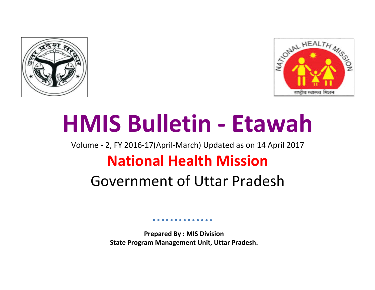



# **HMIS Bulletin - Etawah**

Volume - 2, FY 2016-17(April-March) Updated as on 14 April 2017

## **National Health Mission**

### Government of Uttar Pradesh

**Prepared By : MIS Division State Program Management Unit, Uttar Pradesh.**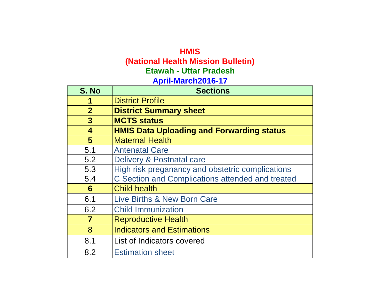### **HMIS (National Health Mission Bulletin) April-March2016-17 Etawah - Uttar Pradesh**

| S. No          | <b>Sections</b>                                  |
|----------------|--------------------------------------------------|
| 1              | <b>District Profile</b>                          |
| $\overline{2}$ | <b>District Summary sheet</b>                    |
| $\mathbf{3}$   | <b>MCTS status</b>                               |
| 4              | <b>HMIS Data Uploading and Forwarding status</b> |
| $5\phantom{1}$ | <b>Maternal Health</b>                           |
| 5.1            | <b>Antenatal Care</b>                            |
| 5.2            | Delivery & Postnatal care                        |
| 5.3            | High risk preganancy and obstetric complications |
| 5.4            | C Section and Complications attended and treated |
| 6              | <b>Child health</b>                              |
| 6.1            | Live Births & New Born Care                      |
| 6.2            | <b>Child Immunization</b>                        |
| $\overline{7}$ | <b>Reproductive Health</b>                       |
| 8              | <b>Indicators and Estimations</b>                |
| 8.1            | List of Indicators covered                       |
| 8.2            | <b>Estimation sheet</b>                          |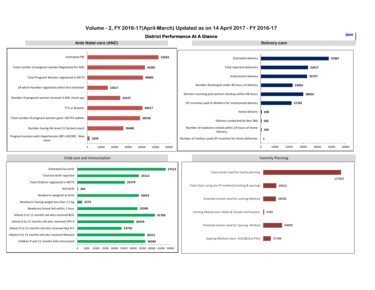

#### **Volume - 2, FY 2016-17(April-March) Updated as on 14 April 2017 - FY 2016-17**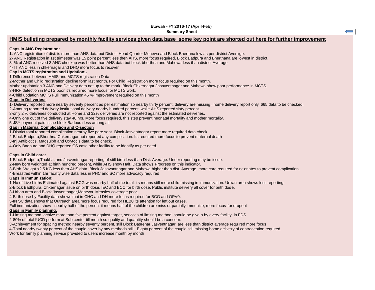#### **Etawah - FY 2016-17 (April-Feb) Summary Sheet**

#### **HMIS bulleting prepared by monthly facility services given data base some key point are shorted out here for further improvement**

#### **Gaps in ANC Registration:**

**1.** ANC registration of dist. is more than AHS data but District Head Quarter Mehewa and Block Bherthna low as per district Average.

2- ANC Registration in 1st trimester was 15 point percent less then AHS, more focus required, Block Badpura and Bherthana are lowest in district.

3- % of ANC received 3 ANC checkup was better than AHS data but block bherthna and Mahewa less than district Average.

4-TT ANC less in chkernagar and DHQ more focus to recover

#### **Gap in MCTS registration and Updation:-**

1-Difference between HMIS and MCTS registration Data

2-Mother and Child registration decline form last month. For Child Registration more focus required on this month.

Mother updatation 3 ANC and Delivery data not up to the mark, Block Chkernagar,Jasaventnagar and Mahewa show poor performance in MCTS.

3-HRP detection in MCTS poor it's required more focus for MCTS work.

2016. The discussion in the FC poor it of required anticle research interference.<br>4-Child updation MCTS Full immunization 45 % improvement required on this month

#### **Gaps in Deliveries:**-

1- Delivery reported more nearby seventy percent as per estimation so nearby thirty percent. delivery are missing , home delivery report only 665 data to be checked.

2-Amoung reported delivery institutional delivery nearby hundred percent, while AHS reported sixty percent.

3-only 2 % deliveries conducted at Home and 32% deliveries are not reported against the estimated deliveries.

4-Only one out of five delivery stay 48 hrs. More focus required, this step prevent neonatal mortality and mother mortality.

5-JSY payment paid issue block Badpura less among all.

#### **Gap in Maternal Complication and C-section**

1-District total reported complication nearby five pare sent Block Jasventnagar report more required data check.

2-Block Badpura,Bherthna,Chkernagar not reported any complication. Its required more focus to prevent maternal death

3-Inj Antibiotics, Magsulph and Oxytocis data to be check.

4-Only Badpura and DHQ reported CS case other facility to be identify as per need.

#### **Gaps in Child care:**

1-Block Badpura,Thakha, and Jasventnagar reporting of still birth less than Dist. Average. Under reporting may be issue.

2-New born weighted at birth hundred percent, while AHS show Half, Data shows Progress on this indicator.

3-Birth Weight <2.5 KG less then AHS data. Block Jasavantnagar and Mahewa higher than dist. Average, more care required for neonates to prevent complication.

4-Breastfed within 1hr facility wise data less in PHC and SC more advocacy required

#### **Gaps in Immunization:**

1-No of Live births Estimated against BCG was nearby half of the total, its means still more child missing in immunization. Urban area shows less reporting.

2-Block Badhpura, Chkernagar issue on birth dose, IEC and BCC for birth dose. Public institute delivery all cover for birth dose.

3-Urban area and Block Jasventnagar,Mahewa Measles coverage poor.

4-Birth dose by Facility data shows that in CHC and DH more focus required for BCG and OPV0.

5-IN SC data shows that Outreach area more focus required for HEB0 its attention for left out cases.

Full immunization show nearby half of the percent it means half of the children are miss or partially immunize, more focus for dropout

#### **Gaps in Family planning:**

1-Limiting method achive more than five percent against target, services of limiting method should be give n by every facility in FDS

2-80% of total IUCD perform at Sub center till month so quality and quantity should be a concern.

3-Achievement for spacing method nearby seventy percent, still Block Basrehar,Jasventnagar are less than district average required more focus

4-Total nearby twenty percent of the couple cover by any methods still Eighty percent of the couple still missing home delivery of contraception required. Work for family planning service provided to users increase month by month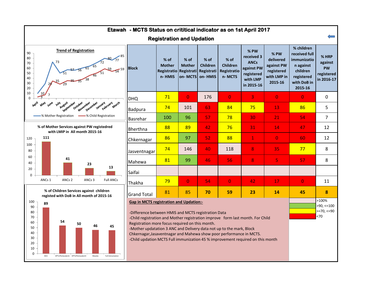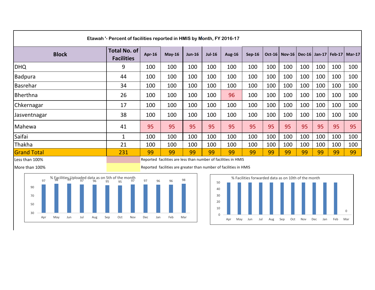| Etawah '- Percent of facilities reported in HMIS by Month, FY 2016-17 |                                          |        |          |          |          |               |          |     |                                                     |     |     |     |     |
|-----------------------------------------------------------------------|------------------------------------------|--------|----------|----------|----------|---------------|----------|-----|-----------------------------------------------------|-----|-----|-----|-----|
| <b>Block</b>                                                          | <b>Total No. of</b><br><b>Facilities</b> | Apr-16 | $May-16$ | $Jun-16$ | $Jul-16$ | <b>Aug-16</b> | $Sep-16$ |     | Oct-16   Nov-16   Dec-16   Jan-17   Feb-17   Mar-17 |     |     |     |     |
| <b>DHQ</b>                                                            | 9                                        | 100    | 100      | 100      | 100      | 100           | 100      | 100 | 100                                                 | 100 | 100 | 100 | 100 |
| <b>Badpura</b>                                                        | 44                                       | 100    | 100      | 100      | 100      | 100           | 100      | 100 | 100                                                 | 100 | 100 | 100 | 100 |
| Basrehar                                                              | 34                                       | 100    | 100      | 100      | 100      | 100           | 100      | 100 | 100                                                 | 100 | 100 | 100 | 100 |
| Bherthna                                                              | 26                                       | 100    | 100      | 100      | 100      | 96            | 100      | 100 | 100                                                 | 100 | 100 | 100 | 100 |
| Chkernagar                                                            | 17                                       | 100    | 100      | 100      | 100      | 100           | 100      | 100 | 100                                                 | 100 | 100 | 100 | 100 |
| Jasventnagar                                                          | 38                                       | 100    | 100      | 100      | 100      | 100           | 100      | 100 | 100                                                 | 100 | 100 | 100 | 100 |
| Mahewa                                                                | 41                                       | 95     | 95       | 95       | 95       | 95            | 95       | 95  | 95                                                  | 95  | 95  | 95  | 95  |
| Saifai                                                                | $\mathbf{1}$                             | 100    | 100      | 100      | 100      | 100           | 100      | 100 | 100                                                 | 100 | 100 | 100 | 100 |
| Thakha                                                                | 21                                       | 100    | 100      | 100      | 100      | 100           | 100      | 100 | 100                                                 | 100 | 100 | 100 | 100 |
| <b>Grand Total</b>                                                    | 231                                      | 99     | 99       | 99       | 99       | 99            | 99       | 99  | 99                                                  | 99  | 99  | 99  | 99  |

Less than 100% **Reported facilities are less than number of facilities in HMIS** Reported facilities are less than number of facilities in HMIS





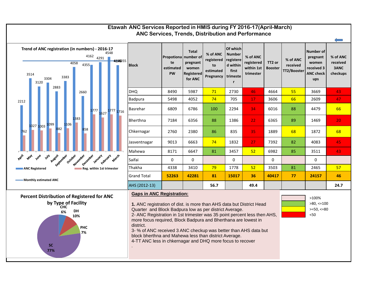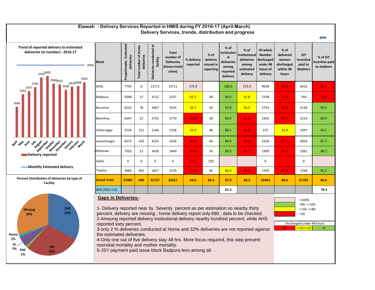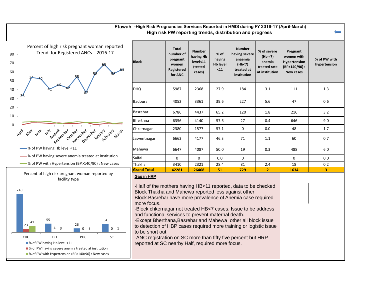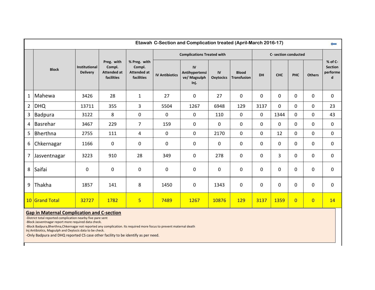|                | Etawah C-Section and Complication treated (April-March 2016-17)<br>$\leftarrow$ |                                         |                                                          |                                                            |                       |                                              |                        |                             |             |                      |                |                |                                            |
|----------------|---------------------------------------------------------------------------------|-----------------------------------------|----------------------------------------------------------|------------------------------------------------------------|-----------------------|----------------------------------------------|------------------------|-----------------------------|-------------|----------------------|----------------|----------------|--------------------------------------------|
|                | <b>Block</b>                                                                    | <b>Institutional</b><br><b>Delivery</b> |                                                          |                                                            |                       | <b>Complications Treated with</b>            |                        |                             |             | C- section conducted |                |                |                                            |
|                |                                                                                 |                                         | Preg. with<br>Compl.<br><b>Attended at</b><br>facilities | % Preg. with<br>Compl.<br><b>Attended at</b><br>facilities | <b>IV Antibiotics</b> | IV<br>Antihypertensi<br>ve/ Magsulph<br>Inj. | IV<br><b>Oxytocics</b> | <b>Blood</b><br>Transfusion | <b>DH</b>   | <b>CHC</b>           | <b>PHC</b>     | <b>Others</b>  | % of C-<br><b>Section</b><br>performe<br>d |
| $\mathbf{1}$   | Mahewa                                                                          | 3426                                    | 28                                                       | $\mathbf{1}$                                               | 27                    | 0                                            | 27                     | 0                           | 0           | 0                    | 0              | 0              | $\mathbf 0$                                |
| $2^{\circ}$    | <b>DHQ</b>                                                                      | 13711                                   | 355                                                      | 3                                                          | 5504                  | 1267                                         | 6948                   | 129                         | 3137        | $\mathbf 0$          | 0              | 0              | 23                                         |
| $\mathbf{3}$   | Badpura                                                                         | 3122                                    | 8                                                        | $\mathbf 0$                                                | $\mathbf 0$           | 0                                            | 110                    | 0                           | $\mathbf 0$ | 1344                 | $\mathbf 0$    | 0              | 43                                         |
| $\overline{4}$ | Basrehar                                                                        | 3467                                    | 229                                                      | $\overline{7}$                                             | 159                   | 0                                            | $\mathbf 0$            | 0                           | 0           | 0                    | $\Omega$       | 0              | $\mathbf 0$                                |
| 5              | Bherthna                                                                        | 2755                                    | 111                                                      | 4                                                          | 0                     | 0                                            | 2170                   | 0                           | 0           | 12                   | 0              | 0              | 0                                          |
| 6              | Chkernagar                                                                      | 1166                                    | $\mathbf 0$                                              | $\mathbf 0$                                                | $\pmb{0}$             | 0                                            | 0                      | 0                           | 0           | $\mathbf 0$          | 0              | 0              | $\mathbf 0$                                |
| $\overline{7}$ | Jasventnagar                                                                    | 3223                                    | 910                                                      | 28                                                         | 349                   | 0                                            | 278                    | 0                           | 0           | 3                    | 0              | 0              | $\mathbf 0$                                |
| 8              | Saifai                                                                          | 0                                       | $\mathbf 0$                                              | $\mathbf 0$                                                | $\mathbf 0$           | 0                                            | $\mathbf 0$            | 0                           | 0           | 0                    | 0              | 0              | $\mathbf 0$                                |
| 9              | Thakha                                                                          | 1857                                    | 141                                                      | 8                                                          | 1450                  | 0                                            | 1343                   | 0                           | 0           | 0                    | 0              | 0              | $\mathbf 0$                                |
|                | 10 Grand Total                                                                  | 32727                                   | 1782                                                     | $\overline{\mathbf{5}}$                                    | 7489                  | 1267                                         | 10876                  | <b>129</b>                  | 3137        | 1359                 | $\overline{0}$ | $\overline{0}$ | 14                                         |

#### **Gap in Maternal Complication and C-section**

-District total reported complication nearby five pare sent

-Block Jasventnagar report more required data check.

-Block Badpura,Bherthna,Chkernagar not reported any complication. Its required more focus to prevent maternal death

Inj Antibiotics, Magsulph and Oxytocis data to be check.

-Only Badpura and DHQ reported CS case other facility to be identify as per need.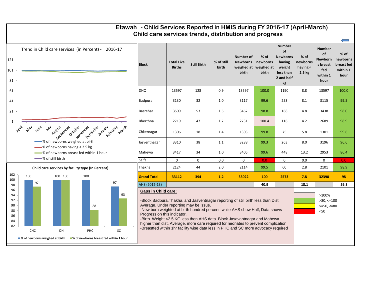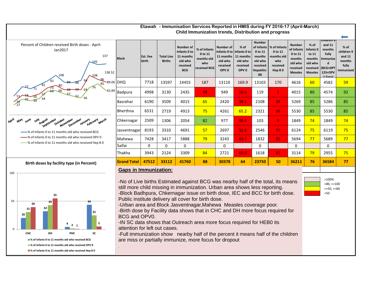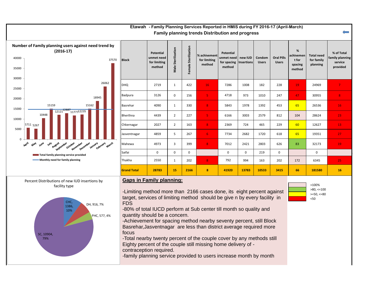#### **Family planning trends Distribution and progress Etawah - Family Planning Services Reported in HMIS during FY 2016-17 (April-March)**



| ivulliber of Falling planning users against need trend by<br>$(2016-17)$<br>40000<br>37570<br>35000 | <b>Block</b>       | Potential<br>unmet need<br>for limiting<br>method | rilization<br>Male | Sterilization<br>Female: | % achivement<br>for limiting<br>method | Potential<br>unmet need   new IUD<br>for spacing<br>method | <b>Insertions</b> | Condom<br><b>Users</b> | <b>Oral Pills</b><br><b>Users</b> | %<br>achivemen<br>t for<br>spacing<br>method | <b>Total need</b><br>for family<br>planning | % of Total<br>family planning<br>service<br>provided |
|-----------------------------------------------------------------------------------------------------|--------------------|---------------------------------------------------|--------------------|--------------------------|----------------------------------------|------------------------------------------------------------|-------------------|------------------------|-----------------------------------|----------------------------------------------|---------------------------------------------|------------------------------------------------------|
| 30000<br>26062<br>25000                                                                             | <b>DHQ</b>         | 2719                                              | $\mathbf{1}$       | 422                      | 16                                     | 7286                                                       | 1008              | 182                    | 228                               | 19                                           | 24969                                       | 7 <sup>°</sup>                                       |
| 18945<br>20000                                                                                      | Badpura            | 3126                                              | $\Omega$           | 156                      | 5.                                     | 4718                                                       | 973               | 1010                   | 247                               | 47                                           | 30955                                       | 8 <sup>1</sup>                                       |
| 15159<br>15162<br>15000                                                                             | Basrehar           | 4090                                              | $\mathbf{1}$       | 330                      | 8                                      | 5843                                                       | 1978              | 1392                   | 453                               | 65                                           | 26536                                       | 16                                                   |
| $\frac{12121^{12887}}{12121^{12887}}$<br>$^{\circ}$ ' <sub>11777</sub> 12235<br>10448<br>10000      | Bherthna           | 4439                                              | $\overline{2}$     | 227                      | 5 <sup>1</sup>                         | 6166                                                       | 3003              | 2579                   | 812                               | 104                                          | 28624                                       | 23                                                   |
| 5711 5267<br>5000                                                                                   | Chkernagar         | 2027                                              | 2                  | 163                      | $\overline{\mathbf{8}}$                | 2369                                                       | 724               | 465                    | 229                               | 60                                           | 12627                                       | 13                                                   |
| $\Omega$                                                                                            | Jasventnagar       | 4859                                              | 5                  | 267                      | 6                                      | 7734                                                       | 2682              | 1720                   | 618                               | 65                                           | 19351                                       | 27                                                   |
| April<br>July August crower occober and pecember january early march<br><b>May</b><br>June          | Mahewa             | 4973                                              | 3                  | 399                      | 8 <sup>°</sup>                         | 7012                                                       | 2421              | 2803                   | 626                               | 83                                           | 32173                                       | 19                                                   |
| Total family planning service provided                                                              | Saifai             | $\mathbf 0$                                       | $\Omega$           | $\mathbf{0}$             |                                        | 0                                                          | $\mathbf{0}$      | 219                    | $\mathbf{0}$                      |                                              | $\mathbf 0$                                 |                                                      |
| Monthly need for family planning                                                                    | Thakha             | 2550                                              | 1                  | 202                      | 8 <sup>°</sup>                         | 792                                                        | 994               | 163                    | 202                               | 172                                          | 6345                                        | 25                                                   |
|                                                                                                     | <b>Grand Total</b> | 28783                                             | <b>15</b>          | 2166                     | 8                                      | 41920                                                      | 13783             | 10533                  | 3415                              | 66                                           | 181580                                      | <b>16</b>                                            |

#### **Gaps in Family planning:**

-Limiting method more than 2166 cases done, its eight percent against target, services of limiting method should be give n by every facility in

-80% of total IUCD perform at Sub center till month so quality and quantity should be a concern.

-Achievement for spacing method nearby seventy percent, still Block Basrehar,Jasventnagar are less than district average required more

-Total nearby twenty percent of the couple cover by any methods still Eighty percent of the couple still missing home delivery of contraception required.

-family planning service provided to users increase month by month

<50 >100%  $>80, \leq 100$  $>=50, <=80$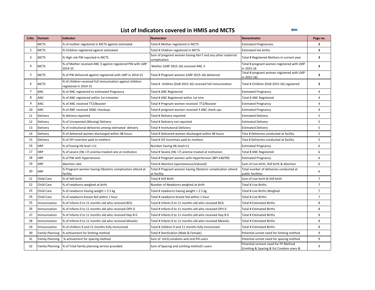#### **List of Indicators covered in HMIS and MCTS**

 $\leftarrow$ 

| S.No.          | <b>Domain</b>          | Indicator                                                                          | <b>Numerator</b>                                                           | <b>Denominator</b>                                                              | Page no.                |
|----------------|------------------------|------------------------------------------------------------------------------------|----------------------------------------------------------------------------|---------------------------------------------------------------------------------|-------------------------|
|                | <b>MCTS</b>            | % of mother registered in MCTS against estimated                                   | Total # Mother registered in MCTS                                          | <b>Estimated Pregnancies</b>                                                    | 3                       |
| $\overline{2}$ | <b>MCTS</b>            | % Children registered against estimated                                            | Total # Children registered in MCTS                                        | <b>Estimated live births</b>                                                    | $\overline{\mathbf{3}}$ |
| 3              | <b>MCTS</b>            | % High risk PW reported in MCTS                                                    | Sum of pregnant women having hb<7 and any other maternal<br>complication   | Total # Registered Mothers in current year                                      | 3                       |
| 4              | <b>MCTS</b>            | % of Mother received ANC 3 against registered PW with LMP<br>2014-15               | Mother (LMP 2015-16) received ANC 3                                        | Total # pregnant women registered with LMP<br>in 2015-16                        | 3                       |
| 5              | <b>MCTS</b>            | % of PW delivered against registered with LMP in 2014-15                           | Total # Pregnant women (LMP 2015-16) delivered                             | Total # pregnant women registered with LMP<br>in 2015-16)                       | 3                       |
| 6              | <b>MCTS</b>            | % of children received full immunization against children<br>registered in 2014-15 | Total # children (DoB 2015-16) received full immunization                  | Total # Children (DoB 2015-16) registered                                       | 3                       |
| $\overline{7}$ | <b>ANC</b>             | % of ANC registered to estimated Pregnancy                                         | Total # ANC Registered                                                     | <b>Estimated Pregnancy</b>                                                      | 4                       |
| 8              | ANC                    | % of ANC registered within 1st trimester                                           | Total # ANC Registered within 1st trim                                     | Total # ANC Registered                                                          | 4                       |
| 9              | <b>ANC</b>             | % of ANC received TT2/Booster                                                      | Total # Pregnant women received TT2/Booster                                | <b>Estimated Pregnancy</b>                                                      | $\overline{4}$          |
| 10             | ANC                    | % of ANC received 3ANC checkups                                                    | Total # pregnant women received 3 ANC check ups                            | <b>Estimated Pregnancy</b>                                                      | 4                       |
| 11             | Delivery               | % delivery reported                                                                | Total # Delivery reported                                                  | <b>Estimated Delivery</b>                                                       | 5                       |
| 12             | Delivery               | % of Unreported (Missing) Delivery                                                 | Total # Deliviery not reported                                             | <b>Estimated Delivery</b>                                                       | 5                       |
| 13             | Delivery               | % of institutional deliveries among estimated delivery                             | Total # Institutional Deliviery                                            | <b>Estimated Delivery</b>                                                       | 5                       |
| 14             | Delivery               | % of delivered women discharged within 48 hours                                    | Total # Delivered women discharged within 48 hours                         | Tota # Deliveries conducted at facility                                         | 5                       |
| 15             | Delivery               | % of JSY incentive paid to mothers                                                 | Total # JSY Incentives paid to mothers                                     | Tota # Deliveries conducted at facility                                         | 5                       |
| 16             | <b>HRP</b>             | % of having Hb level <11                                                           | Number having Hb level<11                                                  | <b>Estimated Pregnancy</b>                                                      | 6                       |
| 17             | <b>HRP</b>             | % of severe (Hb <7) anemia treated rate at institution                             | Total # Severe (Hb <7) anemia treated at institution                       | Total # ANC Registered                                                          | 6                       |
| 18             | <b>HRP</b>             | % of PW with hypertension                                                          | Total # Pregnant women with Hypertension (BP>140/90)                       | <b>Estimated Pregnancy</b>                                                      | 6                       |
| 19             | <b>HRP</b>             | Abortion rate                                                                      | Total # Abortion (spontaneous/induced)                                     | Sum of Live birth, Still birth & Abortion                                       | 6                       |
| 20             | <b>HRP</b>             | % Pregnant women having Obstetric complication attend at<br>facility               | Total # Pregnant women having Obstetric complication attend<br>at facility | Total number of deliveries conducted at<br>public facilities                    | 6                       |
| 21             | Child Care             | % of Still birth                                                                   | Total # Still Birth                                                        | Sum of Live birth & Still birth                                                 | $\overline{7}$          |
| 22             | Child Care             | % of newborns weighed at birth                                                     | Number of Newborns weighed at birth                                        | Total # Live Births                                                             | $\overline{7}$          |
| 23             | Child Care             | % of newborns having weight < 2.5 kg                                               | Total # newborns having weight < 2.5 kg                                    | Total # Live Births Weighed                                                     | $\overline{7}$          |
| 24             | <b>Child Care</b>      | % of newborns breast fed within 1 hour                                             | Total # newborns breast fed within 1 hour                                  | Total # Live Births                                                             | $\overline{7}$          |
| 25             | Immunization           | % of Infants 0 to 11 months old who received BCG                                   | Total # Infants 0 to 11 months old who received BCG                        | Total # Estimated Births                                                        | 8                       |
| 26             | Immunization           | % of Infants 0 to 11 months old who received OPV 0                                 | Total # Infants 0 to 11 months old who received OPV 0                      | <b>Total # Estimated Births</b>                                                 | 8                       |
| 27             | Immunization           | % of Infants 0 to 11 months old who received Hep B 0                               | Total # Infants 0 to 11 months old who received Hep B 0                    | Total # Estimated Births                                                        | 8                       |
| 28             | Immunization           | % of Infants 0 to 11 months old who received Measles                               | Total # Infants 0 to 11 months old who received Measles                    | Total # Estimated Births                                                        | 8                       |
| 29             | Immunization           | % of children 9 and 11 months fully immunized                                      | Total # children 9 and 11 months fully immunized                           | Total # Estimated Births                                                        | 8                       |
| 30             | <b>Family Planning</b> | % achivement for limiting method                                                   | Total # Sterilization (Male & Female)                                      | Potential unmet need for limiting method                                        | 9                       |
| 31             | <b>Family Planning</b> | % achivement for spacing method                                                    | Sum of IUCD, condoms and oral Pill users                                   | Potential unmet need for spacing method                                         | 9                       |
| 32             | <b>Family Planning</b> | % of Total family planning service provided                                        | Sum of Spacing and Limiting method's users                                 | Potential unment need for FP Method<br>(Limiting & Spacing & Est Condom users & | 9                       |